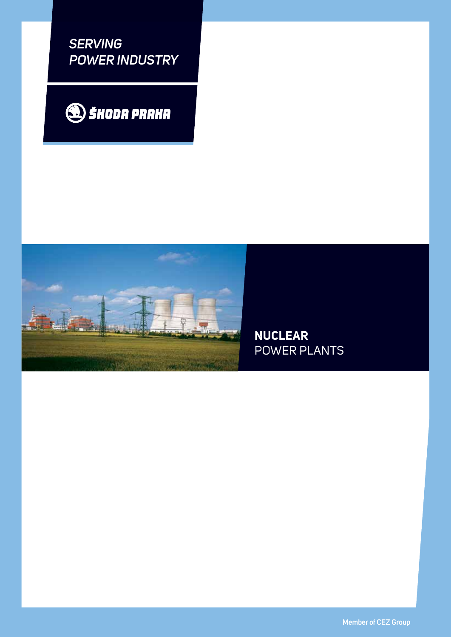*SERVING POWER INDUSTRY*





**NUCLEAR**  POWER PLANTS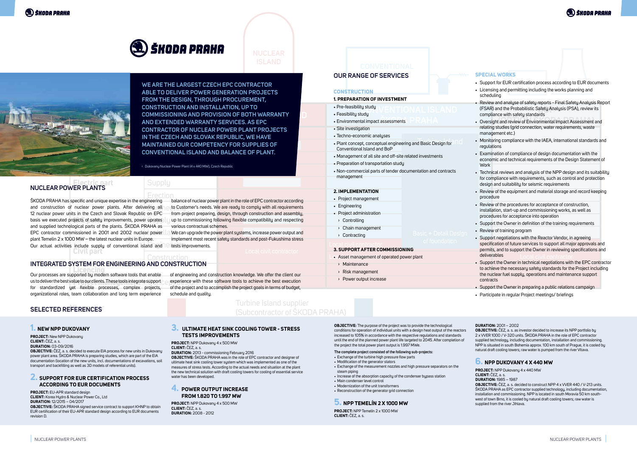

# **NUCLEAR**



Turbine Island supplier (Subcontractor of ŠKODA PRAHA)

**N, UP IO**<br> **FROTH WARRANTY** Engineering **IN THE CZECH AND SLOVAK REPUBLIC, WE HAVE**  MAINTAINED OUR COMPETENCY FOR SUPPLIES OF WE ARE THE LARGEST CZECH EPC CONTRACTOR **ABLE TO DELIVER POWER GENERATION PROJECTS FROM THE DESIGN, THROUGH PROCUREMENT, CONSTRUCTION AND INSTALLATION, UP TO COMMISSIONING AND PROVISION OF BOTH WARRANTY AND EXTENDED WARRANTY SERVICES. AS EPC CONTRACTOR OF NUCLEAR POWER PLANT PROJECTS CONVENTIONAL ISLAND AND BALANCE OF PLANT.**

## <sub>K</sub> Dukovany Nuclear Power Plant (4 x 440 MW), Czech Republic<br>L

Erection ŠKODA PRAHA has specific and unique expertise in the engineering basis we executed projects of safety improvements, power uprates ly EPC contractor commissioned in 2001 and 2002 nuclear power  $||$  a We ca and construction of nuclear power plants. After delivering all 12 nuclear power units in the Czech and Slovak Republic on EPC and supplied technological parts of the plants. ŠKODA PRAHA as plant Temelin 2 x 1000 MW – the latest nuclear units in Europe.

**C**ivilian activities include supply of conventional island and **P tests improvements.**<br> **CIVIL DATE** 

ting all et Customer's needs. We are ready to comply with all requirements balance of nuclear power plant in the role of EPC contractor according from project preparing, design, through construction and assembly, up to commissioning following flexible compatibility and respecting various contractual schemes.

> We can upgrade the power plant systems, increase power output and implement most recent safety standards and post-Fukushima stress tests improvements.

**PROJECT:** EU-APR standard design **Client:** Korea Hydro & Nuclear Power Co., Ltd **Duration:** 12/2015 – 04/2017

#### EXECUTE SUPPLIER (STRESS PRAGHA) NI EQUIPMENT HEAT SINK COOLING TOWER - STRESS<br>TESTS IMPROVEMENTS (Singapura Singapura Singapura Singapura Singapura Singapura Singapura Singapura Singapura Singapura Singapura<br>Singapura Singapura Singapura Singapura Singapura Singapura Singapura Singapura Singapura Singapura Singapura **tests improvements**

**OBJECTIVE:** The purpose of the project was to provide the technological conditions for operation of individual units with a design heat output of the reactors increased to 105% in accordance with the respective regulations and standards until the end of the planned power plant life targeted to 2045. After completion of the project the total power plant output is 1.997 MWe.

#### **1. New NPP Dukovany**

**Project:** New NPP Dukovany **Client:** ČEZ, a. s. **Duration:** 03-09/2016

> **Project:** NPP Temelín 2 x 1000 MW **CLIENT:** ČEZ, a. s.



**Objective:** ČEZ, a. s. decided to execute EIA process for new units in Dukovany power plant area. ŠKODA PRAHA is preparing studies, which are part of the EIA documentation (location of the new units, incl. documentations of excavations, soil transport and backfilling as well as 3D models of referential units).

**OBJECTIVE:** ČEZ, a. s. as investor decided to increase its NPP portfolio by 2 x VVER 1000 / V-320 units. ŠKODA PRAHA in the role of EPC contractor supplied technology, including documentation, installation and commissioning. NPP is situated in south Bohemia approx. 100 km south of Prague, it is cooled by natural draft cooling towers; raw water is pumped from the river Vltava.

#### **2. Support for EUR certification process according to EUR documents**

**Electric part NUCLEAR POWER PLANTS**

**Objective:** ŠKODA PRAHA signed service contract to support KHNP to obtain EUR certification of their EU-APR standard design according to EUR documents revision D.

**Licencing** Our processes are supported by modern software tools that enable us to deliver the best value to our clients. These tools integrate support celebrate celebrate will<br>. for standardized yet flexible processes, complex projects, organizational roles, team collaboration and long term experience

> **Project:** NPP Dukovany 4 x 500 MW **Client:** ČEZ, a. s. **Duration:** 2013 - commissioning February 2016 **Objective:** ŠKODA PRAHA was in the role of EPC contractor and designer of ultimate heat sink cooling tower system which was implemented as one of the measures of stress tests. According to the actual needs and situation at the plant the new technical solution with draft cooling towers for cooling of essential service water has been developed.

- Construction Local civil contractor Local civil contractor Local civil contractor Local civil contractor Local civil contractor
	- › Maintenance
	- › Risk management
	- › Power output increase

#### **4. Power output increase from 1.820 to 1.997 MW**

**Project:** NPP Dukovany 4 x 500 MW **Client:** ČEZ, a. s. **Duration:** 2008 - 2012

## **ISLAND CONVENTIONAL**

### **OUR RANGE OF SERVIC**

#### **The complete project consisted of the following sub-projects:**

- Exchange of the turbine high pressure flow parts
- • Modification of the generator stators
- Exchange of the measurement nozzles and high pressure separators on the steam piping
- Increase of the absorption capacity of the condenser bypass station
- Main condenser level control
- • Modernization of the unit transformers
- Reconstruction of the generator grid connection

#### **5. NPP Temelín 2 x 1000 MW**

#### **Duration:** 2001 – 2002

#### **6. NPP Dukovany 4 x 440 MW**

- **Project:** NPP Dukovany 4 x 440 MW **Client:** ČEZ, a. s.
- **Duration:** 1985 1987
- **Objective:** ČEZ, a. s. decided to construct NPP 4 x VVER 440 / V-213 units. ŠKODA PRAHA as EPC contractor supplied technology, including documentation, installation and commissioning. NPP is located in south Moravia 50 km southwest of town Brno, it is cooled by natural draft cooling towers; raw water is supplied from the river Jihlava.

#### **Selected references**

of engineering and construction knowledge. We offer the client our experience with these software tools to achieve the best execution of the project and to accomplish the project goals in terms of budget, schedule and quality.

### **INTEGRATED SYSTEM FOR ENGINEERING AND CONSTRUCTION**

#### **Construction**

- **1. preparation of investment**
- Pre-feasibility study
- Feasibility study
- Environmental impact assessments PRAHA
- Site investigation
- Techno-economic analyses
- Plant concept, conceptual engineering and Basic Design for Conventional Island and BoP
- • Management of all site and off-site related investments
- Preparation of transportation study
- • Non-commercial parts of tender documentation and contracts management

#### **2. Implementation**

- • Project management
- • Engineering
- • Project administration
- › Controlling
- › Chain management
- › Contracting
- 

#### **3. Support after Commissioning**

#### **Special works**

- Support for EUR certification process according to EUR documents
- Licensing and permitting including the works planning and scheduling
- **BoP**  (FSAR) and the Probabilistic Safety Analysis (PSA), review its • Review and analyse of safety reports - Final Safety Analysis Report compliance with safety standards
- **•** Oversight and review of Environmental Impact Assessment and relating studies (grid connection, water requirements, waste management etc.)
- Monitoring compliance with the IAEA, international standards and regulations
- Examination of compliance of design documentation with the economic and technical requirements of the Design Statement of **Work**
- Technical reviews and analysis of the NPP design and its suitability for compliance with requirements, such as control and protection design and suitability for seismic requirements
- Review of the equipment and material storage and record keeping procedure
- Review of the procedures for acceptance of construction, installation, start-up and commissioning works, as well as procedures for acceptance into operation
- Support the Owner in definition of the training requirements
- Review of training program
- Local civil contractor **Local civil contractor** contraction of future services to support all major approvals and • Support negotiations with the Reactor Vendor, in agreeing permits, and to support the Owner in reviewing specifications and deliverables
	- Support the Owner in technical negotiations with the EPC contractor to achieve the necessary safety standards for the Project including the nuclear fuel supply, operations and maintenance support contracts
	- Support the Owner in preparing a public relations campaign
	- Participate in regular Project meetings/ briefings